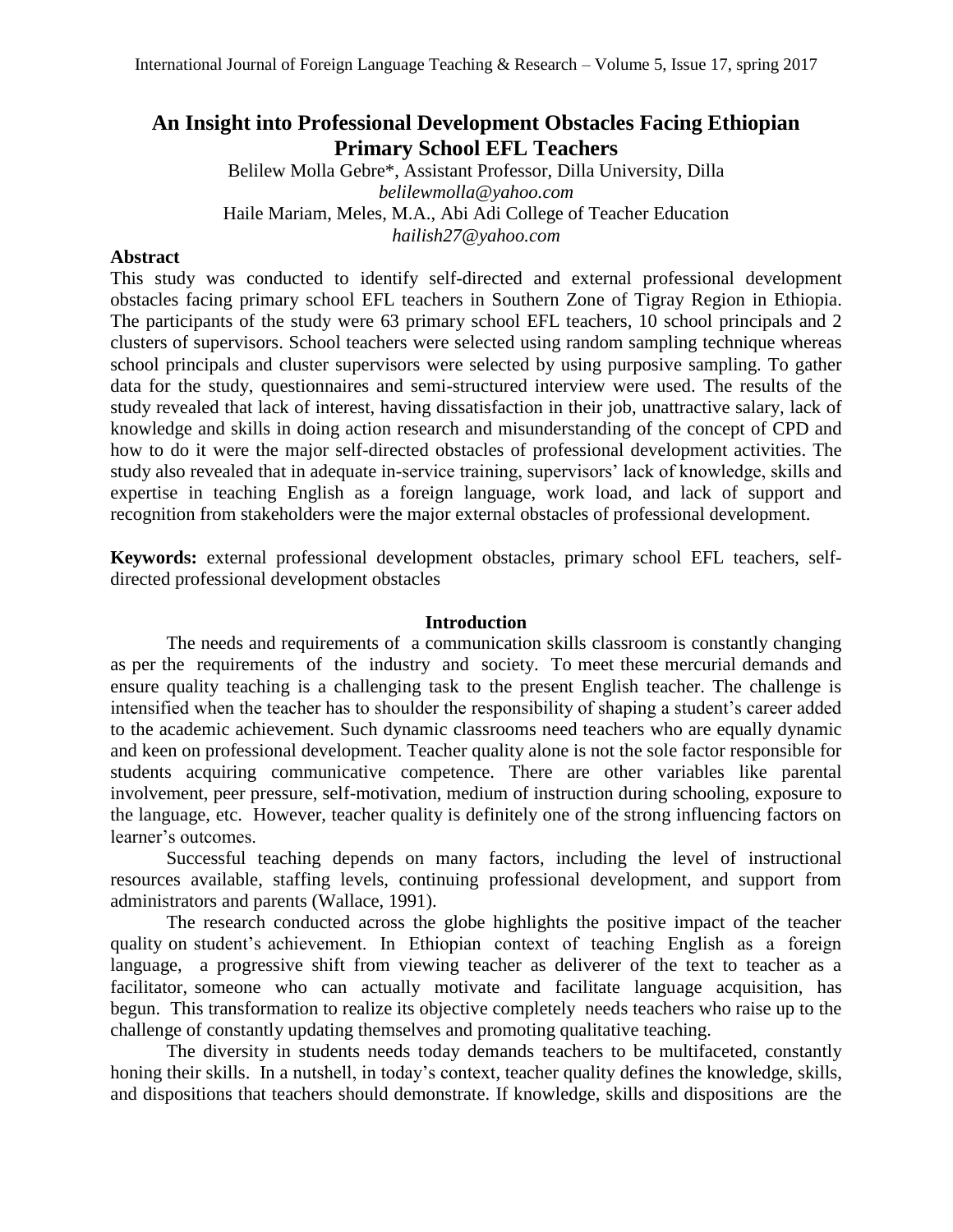# **An Insight into Professional Development Obstacles Facing Ethiopian Primary School EFL Teachers**

Belilew Molla Gebre\*, Assistant Professor, Dilla University, Dilla *[belilewmolla@yahoo.com](mailto:belilewmolla@yahoo.com)* Haile Mariam, Meles, M.A., Abi Adi College of Teacher Education *hailish27@yahoo.com*

# **Abstract**

This study was conducted to identify self-directed and external professional development obstacles facing primary school EFL teachers in Southern Zone of Tigray Region in Ethiopia. The participants of the study were 63 primary school EFL teachers, 10 school principals and 2 clusters of supervisors. School teachers were selected using random sampling technique whereas school principals and cluster supervisors were selected by using purposive sampling. To gather data for the study, questionnaires and semi-structured interview were used. The results of the study revealed that lack of interest, having dissatisfaction in their job, unattractive salary, lack of knowledge and skills in doing action research and misunderstanding of the concept of CPD and how to do it were the major self-directed obstacles of professional development activities. The study also revealed that in adequate in-service training, supervisors' lack of knowledge, skills and expertise in teaching English as a foreign language, work load, and lack of support and recognition from stakeholders were the major external obstacles of professional development.

**Keywords:** external professional development obstacles, primary school EFL teachers, selfdirected professional development obstacles

# **Introduction**

The needs and requirements of a communication skills classroom is constantly changing as per the requirements of the industry and society. To meet these mercurial demands and ensure quality teaching is a challenging task to the present English teacher. The challenge is intensified when the teacher has to shoulder the responsibility of shaping a student's career added to the academic achievement. Such dynamic classrooms need teachers who are equally dynamic and keen on professional development. Teacher quality alone is not the sole factor responsible for students acquiring communicative competence. There are other variables like parental involvement, peer pressure, self-motivation, medium of instruction during schooling, exposure to the language, etc. However, teacher quality is definitely one of the strong influencing factors on learner's outcomes.

Successful teaching depends on many factors, including the level of instructional resources available, staffing levels, continuing professional development, and support from administrators and parents (Wallace, 1991).

The research conducted across the globe highlights the positive impact of the teacher quality on student's achievement. In Ethiopian context of teaching English as a foreign language, a progressive shift from viewing teacher as deliverer of the text to teacher as a facilitator, someone who can actually motivate and facilitate language acquisition, has begun. This transformation to realize its objective completely needs teachers who raise up to the challenge of constantly updating themselves and promoting qualitative teaching.

The diversity in students needs today demands teachers to be multifaceted, constantly honing their skills. In a nutshell, in today's context, teacher quality defines the knowledge, skills, and dispositions that teachers should demonstrate. If knowledge, skills and dispositions are the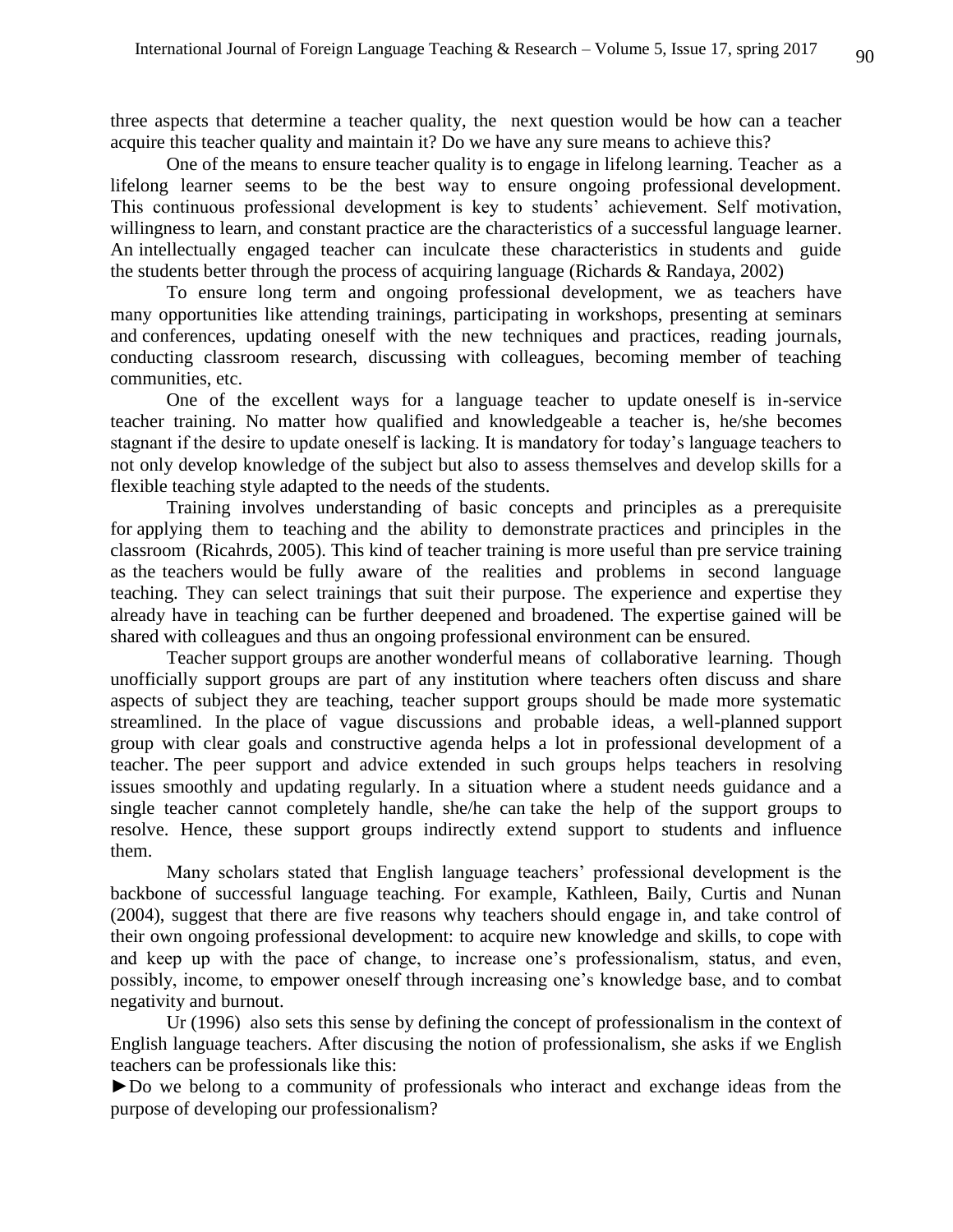three aspects that determine a teacher quality, the next question would be how can a teacher acquire this teacher quality and maintain it? Do we have any sure means to achieve this?

One of the means to ensure teacher quality is to engage in lifelong learning. Teacher as a lifelong learner seems to be the best way to ensure ongoing professional development. This continuous professional development is key to students' achievement. Self motivation, willingness to learn, and constant practice are the characteristics of a successful language learner. An intellectually engaged teacher can inculcate these characteristics in students and guide the students better through the process of acquiring language (Richards & Randaya, 2002)

To ensure long term and ongoing professional development, we as teachers have many opportunities like attending trainings, participating in workshops, presenting at seminars and conferences, updating oneself with the new techniques and practices, reading journals, conducting classroom research, discussing with colleagues, becoming member of teaching communities, etc.

One of the excellent ways for a language teacher to update oneself is in-service teacher training. No matter how qualified and knowledgeable a teacher is, he/she becomes stagnant if the desire to update oneself is lacking. It is mandatory for today's language teachers to not only develop knowledge of the subject but also to assess themselves and develop skills for a flexible teaching style adapted to the needs of the students.

Training involves understanding of basic concepts and principles as a prerequisite for applying them to teaching and the ability to demonstrate practices and principles in the classroom (Ricahrds, 2005). This kind of teacher training is more useful than pre service training as the teachers would be fully aware of the realities and problems in second language teaching. They can select trainings that suit their purpose. The experience and expertise they already have in teaching can be further deepened and broadened. The expertise gained will be shared with colleagues and thus an ongoing professional environment can be ensured.

Teacher support groups are another wonderful means of collaborative learning. Though unofficially support groups are part of any institution where teachers often discuss and share aspects of subject they are teaching, teacher support groups should be made more systematic streamlined. In the place of vague discussions and probable ideas, a well-planned support group with clear goals and constructive agenda helps a lot in professional development of a teacher. The peer support and advice extended in such groups helps teachers in resolving issues smoothly and updating regularly. In a situation where a student needs guidance and a single teacher cannot completely handle, she/he can take the help of the support groups to resolve. Hence, these support groups indirectly extend support to students and influence them.

Many scholars stated that English language teachers' professional development is the backbone of successful language teaching. For example, Kathleen, Baily, Curtis and Nunan (2004), suggest that there are five reasons why teachers should engage in, and take control of their own ongoing professional development: to acquire new knowledge and skills, to cope with and keep up with the pace of change, to increase one's professionalism, status, and even, possibly, income, to empower oneself through increasing one's knowledge base, and to combat negativity and burnout.

Ur (1996) also sets this sense by defining the concept of professionalism in the context of English language teachers. After discusing the notion of professionalism, she asks if we English teachers can be professionals like this:

►Do we belong to a community of professionals who interact and exchange ideas from the purpose of developing our professionalism?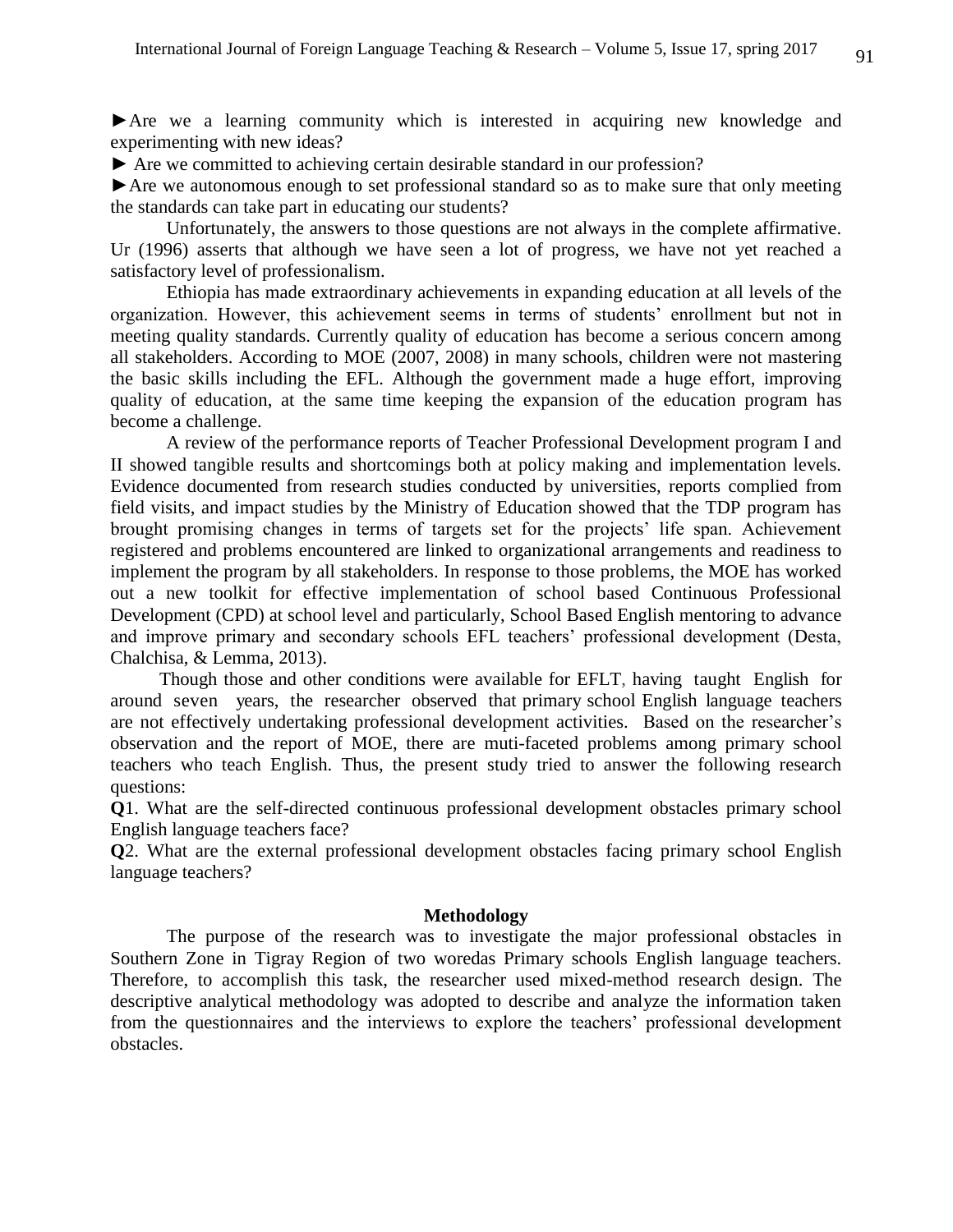►Are we a learning community which is interested in acquiring new knowledge and experimenting with new ideas?

► Are we committed to achieving certain desirable standard in our profession?

►Are we autonomous enough to set professional standard so as to make sure that only meeting the standards can take part in educating our students?

Unfortunately, the answers to those questions are not always in the complete affirmative. Ur (1996) asserts that although we have seen a lot of progress, we have not yet reached a satisfactory level of professionalism.

Ethiopia has made extraordinary achievements in expanding education at all levels of the organization. However, this achievement seems in terms of students' enrollment but not in meeting quality standards. Currently quality of education has become a serious concern among all stakeholders. According to MOE (2007, 2008) in many schools, children were not mastering the basic skills including the EFL. Although the government made a huge effort, improving quality of education, at the same time keeping the expansion of the education program has become a challenge.

A review of the performance reports of Teacher Professional Development program I and II showed tangible results and shortcomings both at policy making and implementation levels. Evidence documented from research studies conducted by universities, reports complied from field visits, and impact studies by the Ministry of Education showed that the TDP program has brought promising changes in terms of targets set for the projects' life span. Achievement registered and problems encountered are linked to organizational arrangements and readiness to implement the program by all stakeholders. In response to those problems, the MOE has worked out a new toolkit for effective implementation of school based Continuous Professional Development (CPD) at school level and particularly, School Based English mentoring to advance and improve primary and secondary schools EFL teachers' professional development (Desta, Chalchisa, & Lemma, 2013).

Though those and other conditions were available for EFLT, having taught English for around seven years, the researcher observed that primary school English language teachers are not effectively undertaking professional development activities. Based on the researcher's observation and the report of MOE, there are muti-faceted problems among primary school teachers who teach English. Thus, the present study tried to answer the following research questions:

**Q**1. What are the self-directed continuous professional development obstacles primary school English language teachers face?

**Q**2. What are the external professional development obstacles facing primary school English language teachers?

## **Methodology**

The purpose of the research was to investigate the major professional obstacles in Southern Zone in Tigray Region of two woredas Primary schools English language teachers. Therefore, to accomplish this task, the researcher used mixed-method research design. The descriptive analytical methodology was adopted to describe and analyze the information taken from the questionnaires and the interviews to explore the teachers' professional development obstacles.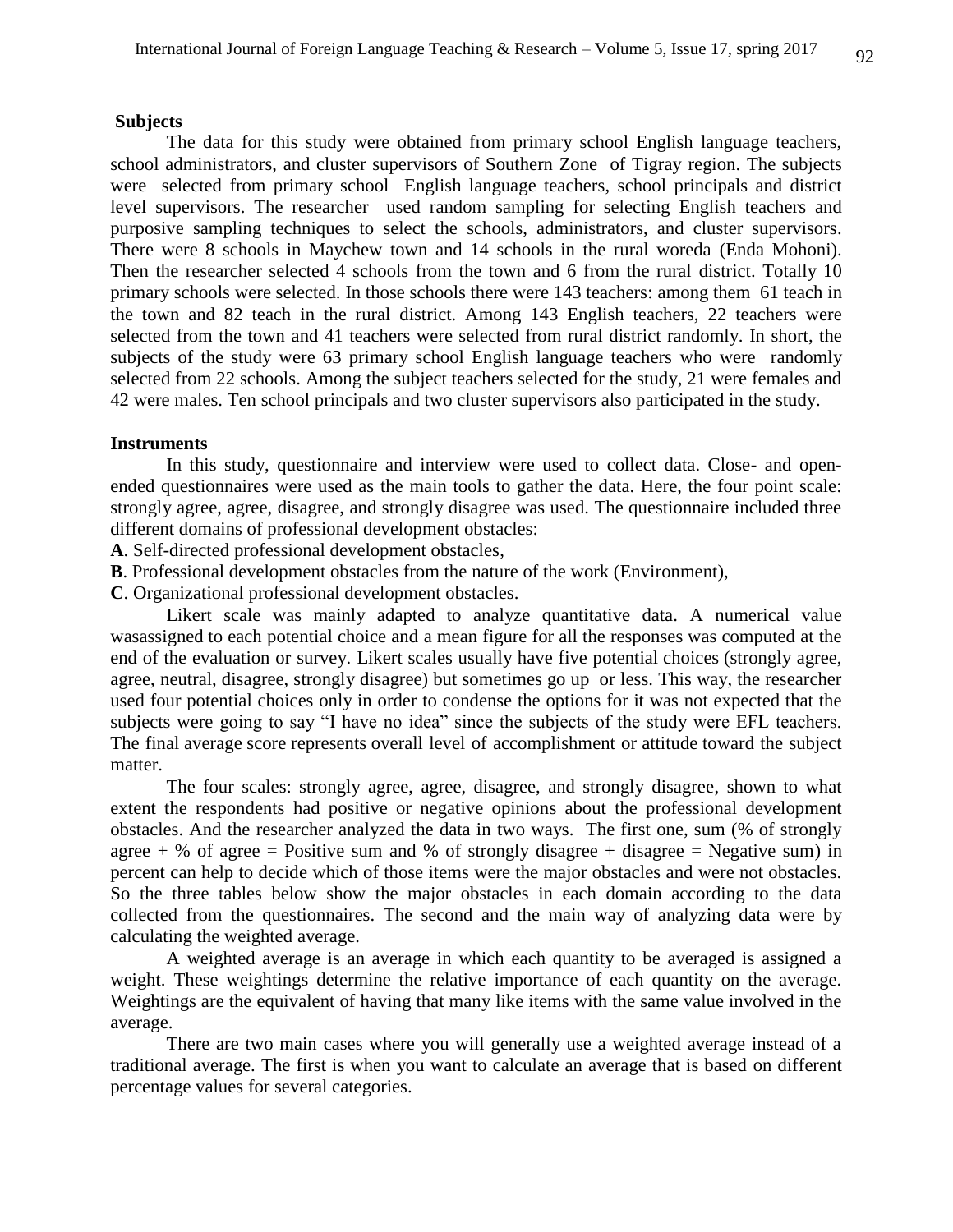### **Subjects**

The data for this study were obtained from primary school English language teachers, school administrators, and cluster supervisors of Southern Zone of Tigray region. The subjects were selected from primary school English language teachers, school principals and district level supervisors. The researcher used random sampling for selecting English teachers and purposive sampling techniques to select the schools, administrators, and cluster supervisors. There were 8 schools in Maychew town and 14 schools in the rural woreda (Enda Mohoni). Then the researcher selected 4 schools from the town and 6 from the rural district. Totally 10 primary schools were selected. In those schools there were 143 teachers: among them 61 teach in the town and 82 teach in the rural district. Among 143 English teachers, 22 teachers were selected from the town and 41 teachers were selected from rural district randomly. In short, the subjects of the study were 63 primary school English language teachers who were randomly selected from 22 schools. Among the subject teachers selected for the study, 21 were females and 42 were males. Ten school principals and two cluster supervisors also participated in the study.

### **Instruments**

In this study, questionnaire and interview were used to collect data. Close- and openended questionnaires were used as the main tools to gather the data. Here, the four point scale: strongly agree, agree, disagree, and strongly disagree was used. The questionnaire included three different domains of professional development obstacles:

**A**. Self-directed professional development obstacles,

**B**. Professional development obstacles from the nature of the work (Environment),

**C**. Organizational professional development obstacles.

Likert scale was mainly adapted to analyze quantitative data. A numerical value wa[sassigned](http://www.businessdictionary.com/definition/assign.html) to each potential choice and a mean figure for all the [responses](http://www.businessdictionary.com/definition/response.html) was computed at the end of the evaluation or survey. Likert scales usually have five potential [choices](http://www.businessdictionary.com/definition/choice.html) (strongly agree, agree, neutral, disagree, strongly disagree) but sometimes go up or less. This way, the researcher used four potential choices only in order to condense the options for it was not expected that the subjects were going to say "I have no idea" since the subjects of the study were EFL teachers. The final [average](http://www.businessdictionary.com/definition/average.html) score [represents](http://www.businessdictionary.com/definition/represent.html) overall level of accomplishment or [attitude](http://www.businessdictionary.com/definition/attitude.html) toward the subject matter.

The four scales: strongly agree, agree, disagree, and strongly disagree, shown to what extent the respondents had positive or negative opinions about the professional development obstacles. And the researcher analyzed the data in two ways. The first one, sum (% of strongly agree  $+$  % of agree = Positive sum and % of strongly disagree  $+$  disagree = Negative sum) in percent can help to decide which of those items were the major obstacles and were not obstacles. So the three tables below show the major obstacles in each domain according to the data collected from the questionnaires. The second and the main way of analyzing data were by calculating the weighted average.

A weighted average is an average in which each quantity to be averaged is assigned a weight. These weightings determine the relative importance of each quantity on the average. Weightings are the equivalent of having that many like items with the same value involved in the average.

There are two main cases where you will generally use a weighted average instead of a traditional average. The first is when you want to calculate an average that is based on different percentage values for several categories.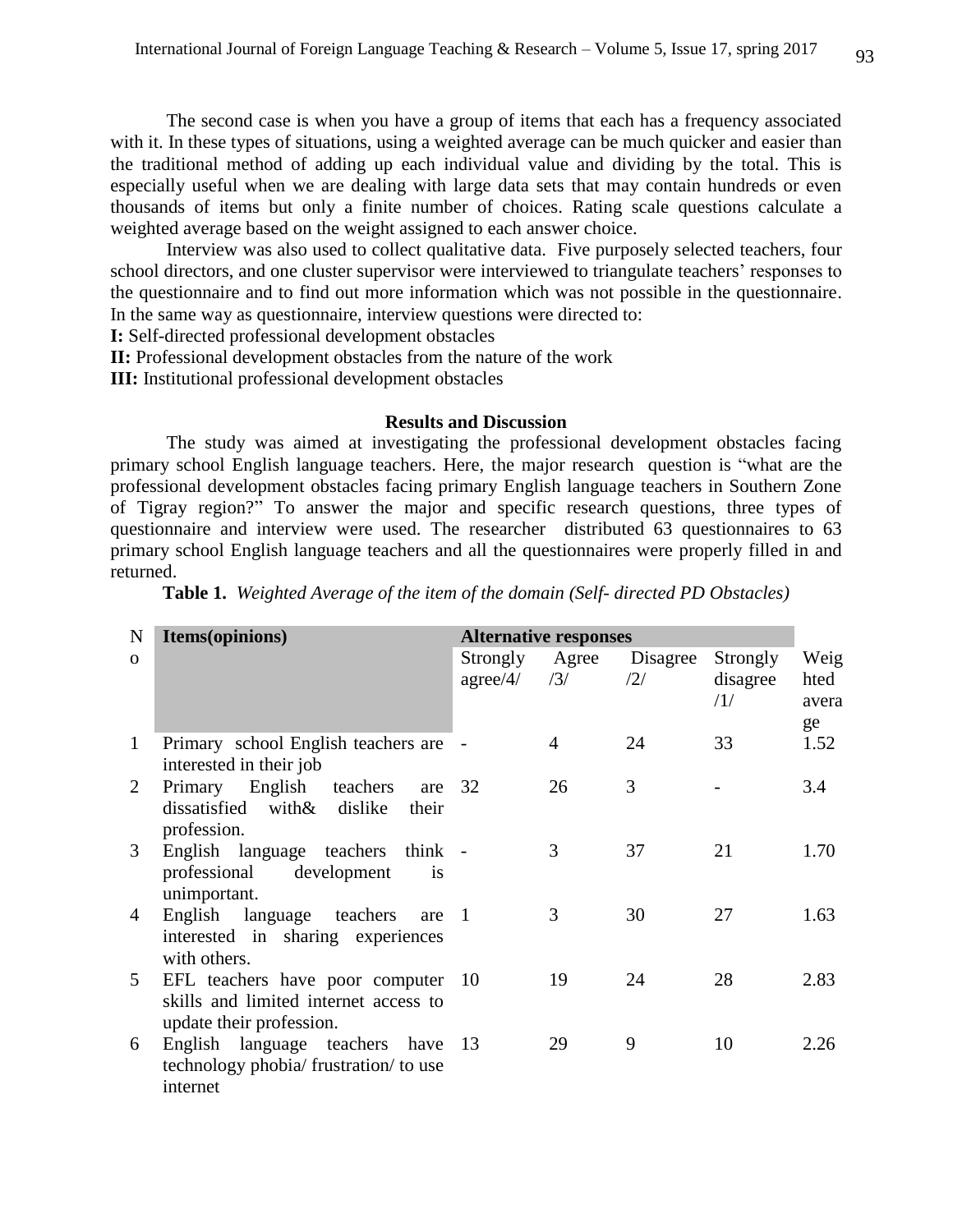The second case is when you have a group of items that each has a frequency associated with it. In these types of situations, using a weighted average can be much quicker and easier than the traditional method of adding up each individual value and dividing by the total. This is especially useful when we are dealing with large data sets that may contain hundreds or even thousands of items but only a finite number of choices. Rating scale questions calculate a weighted average based on the weight assigned to each answer choice.

Interview was also used to collect qualitative data. Five purposely selected teachers, four school directors, and one cluster supervisor were interviewed to triangulate teachers' responses to the questionnaire and to find out more information which was not possible in the questionnaire. In the same way as questionnaire, interview questions were directed to:

**I:** Self-directed professional development obstacles

**II:** Professional development obstacles from the nature of the work

**III:** Institutional professional development obstacles

## **Results and Discussion**

The study was aimed at investigating the professional development obstacles facing primary school English language teachers. Here, the major research question is "what are the professional development obstacles facing primary English language teachers in Southern Zone of Tigray region?" To answer the major and specific research questions, three types of questionnaire and interview were used. The researcher distributed 63 questionnaires to 63 primary school English language teachers and all the questionnaires were properly filled in and returned.

| N            | <b>Items</b> (opinions)                                                                                 | <b>Alternative responses</b> |              |                 |                             |                             |
|--------------|---------------------------------------------------------------------------------------------------------|------------------------------|--------------|-----------------|-----------------------------|-----------------------------|
| $\Omega$     |                                                                                                         | Strongly<br>agree/4/         | Agree<br>/3/ | Disagree<br>/2/ | Strongly<br>disagree<br>/1/ | Weig<br>hted<br>avera<br>ge |
| $\mathbf{1}$ | Primary school English teachers are<br>interested in their job                                          |                              | 4            | 24              | 33                          | 1.52                        |
| 2            | Primary English teachers<br>are 32<br>dissatisfied with & dislike<br>their<br>profession.               |                              | 26           | 3               |                             | 3.4                         |
| 3            | English language teachers<br>think -<br>professional development<br><i>is</i><br>unimportant.           |                              | 3            | 37              | 21                          | 1.70                        |
| 4            | English language teachers<br>are<br>interested in sharing experiences<br>with others.                   | $\blacksquare$               | 3            | 30              | 27                          | 1.63                        |
| 5            | EFL teachers have poor computer 10<br>skills and limited internet access to<br>update their profession. |                              | 19           | 24              | 28                          | 2.83                        |
| 6            | English language teachers have 13<br>technology phobia/ frustration/ to use<br>internet                 |                              | 29           | 9               | 10                          | 2.26                        |

**Table 1.** *Weighted Average of the item of the domain (Self- directed PD Obstacles)*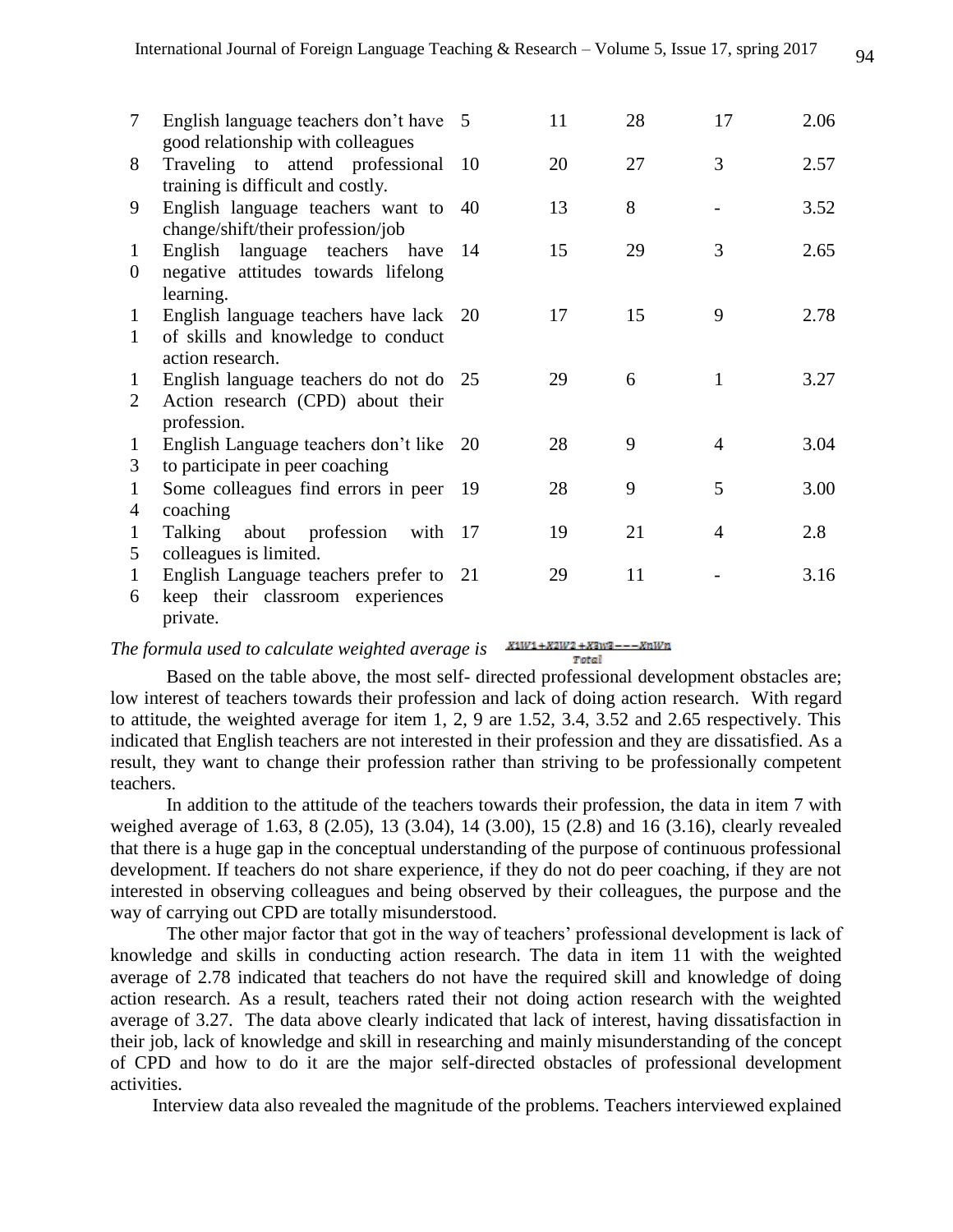| 7                     | English language teachers don't have 5<br>good relationship with colleagues                |    | 11 | 28 | 17 | 2.06 |
|-----------------------|--------------------------------------------------------------------------------------------|----|----|----|----|------|
| 8                     | Traveling to attend professional 10<br>training is difficult and costly.                   |    | 20 | 27 | 3  | 2.57 |
| 9                     | English language teachers want to 40<br>change/shift/their profession/job                  |    | 13 | 8  |    | 3.52 |
| 1<br>$\boldsymbol{0}$ | English language teachers have<br>negative attitudes towards lifelong                      | 14 | 15 | 29 | 3  | 2.65 |
| 1<br>1                | learning.<br>English language teachers have lack 20<br>of skills and knowledge to conduct  |    | 17 | 15 | 9  | 2.78 |
|                       | action research.                                                                           |    |    |    |    |      |
| 1<br>2                | English language teachers do not do 25<br>Action research (CPD) about their<br>profession. |    | 29 | 6  | 1  | 3.27 |
| $\mathbf{1}$<br>3     | English Language teachers don't like 20<br>to participate in peer coaching                 |    | 28 | 9  | 4  | 3.04 |
| 1<br>4                | Some colleagues find errors in peer<br>coaching                                            | 19 | 28 | 9  | 5  | 3.00 |
| 1                     | Talking<br>about profession<br>with 17                                                     |    | 19 | 21 | 4  | 2.8  |
| 5<br>1                | colleagues is limited.<br>English Language teachers prefer to 21                           |    | 29 | 11 |    | 3.16 |
| 6                     | keep their classroom experiences<br>private.                                               |    |    |    |    |      |

#### *The formula used to calculate weighted average is*  Total

Based on the table above, the most self- directed professional development obstacles are; low interest of teachers towards their profession and lack of doing action research. With regard to attitude, the weighted average for item 1, 2, 9 are 1.52, 3.4, 3.52 and 2.65 respectively. This indicated that English teachers are not interested in their profession and they are dissatisfied. As a result, they want to change their profession rather than striving to be professionally competent teachers.

In addition to the attitude of the teachers towards their profession, the data in item 7 with weighed average of 1.63, 8 (2.05), 13 (3.04), 14 (3.00), 15 (2.8) and 16 (3.16), clearly revealed that there is a huge gap in the conceptual understanding of the purpose of continuous professional development. If teachers do not share experience, if they do not do peer coaching, if they are not interested in observing colleagues and being observed by their colleagues, the purpose and the way of carrying out CPD are totally misunderstood.

The other major factor that got in the way of teachers' professional development is lack of knowledge and skills in conducting action research. The data in item 11 with the weighted average of 2.78 indicated that teachers do not have the required skill and knowledge of doing action research. As a result, teachers rated their not doing action research with the weighted average of 3.27. The data above clearly indicated that lack of interest, having dissatisfaction in their job, lack of knowledge and skill in researching and mainly misunderstanding of the concept of CPD and how to do it are the major self-directed obstacles of professional development activities.

Interview data also revealed the magnitude of the problems. Teachers interviewed explained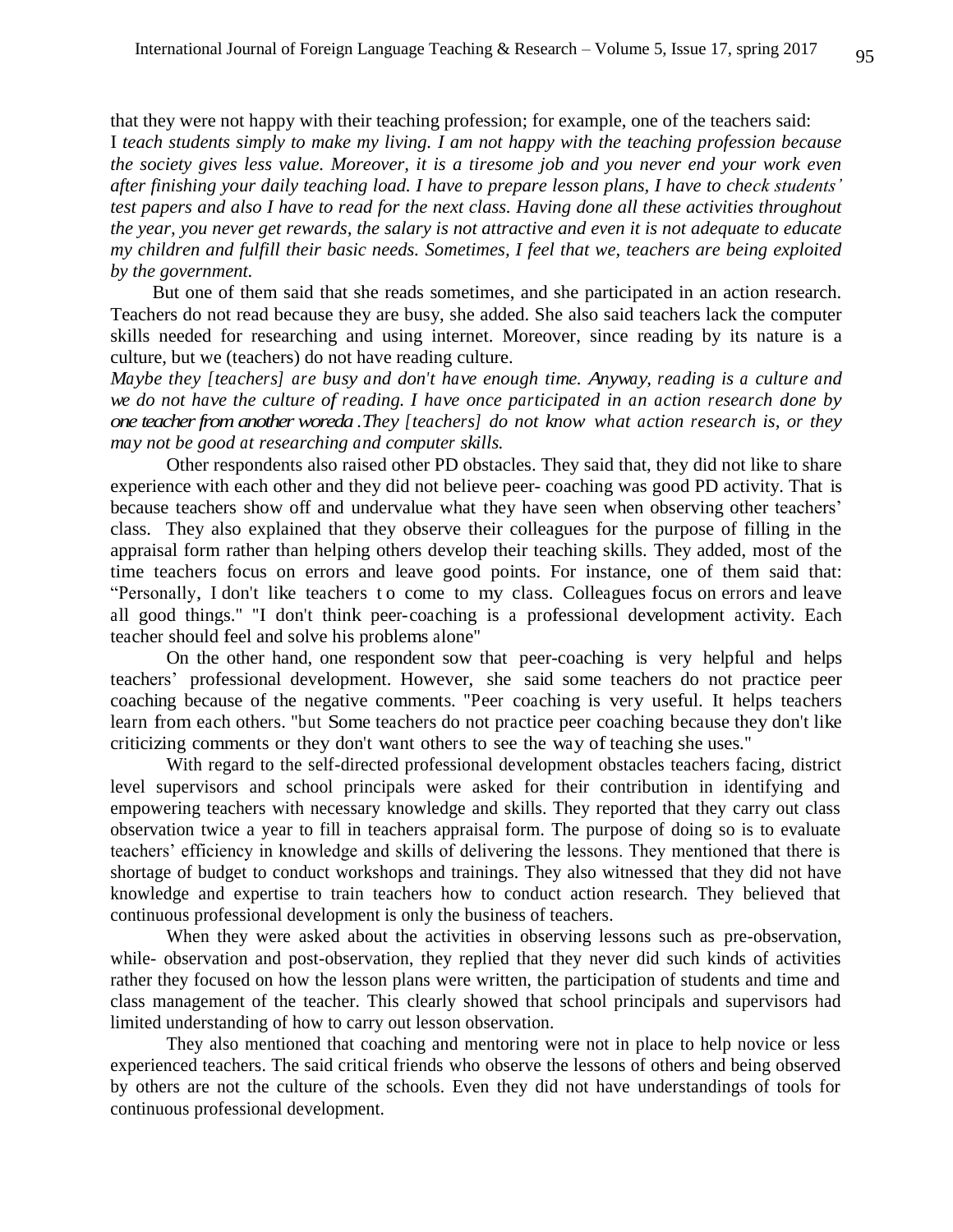that they were not happy with their teaching profession; for example, one of the teachers said: I *teach students simply to make my living. I am not happy with the teaching profession because the society gives less value. Moreover, it is a tiresome job and you never end your work even after finishing your daily teaching load. I have to prepare lesson plans, I have to check students' test papers and also I have to read for the next class. Having done all these activities throughout the year, you never get rewards, the salary is not attractive and even it is not adequate to educate my children and fulfill their basic needs. Sometimes, I feel that we, teachers are being exploited by the government.*

But one of them said that she reads sometimes, and she participated in an action research. Teachers do not read because they are busy, she added. She also said teachers lack the computer skills needed for researching and using internet. Moreover, since reading by its nature is a culture, but we (teachers) do not have reading culture.

 *Maybe they [teachers] are busy and don't have enough time. Anyway, reading is a culture and we do not have the culture of reading. I have once participated in an action research done by one teacher from another woreda .They [teachers] do not know what action research is, or they may not be good at researching and computer skills.*

Other respondents also raised other PD obstacles. They said that, they did not like to share experience with each other and they did not believe peer- coaching was good PD activity. That is because teachers show off and undervalue what they have seen when observing other teachers' class. They also explained that they observe their colleagues for the purpose of filling in the appraisal form rather than helping others develop their teaching skills. They added, most of the time teachers focus on errors and leave good points. For instance, one of them said that: "Personally, I don't like teachers t o come to my class. Colleagues focus on errors and leave all good things." "I don't think peer-coaching is a professional development activity. Each teacher should feel and solve his problems alone"

On the other hand, one respondent sow that peer-coaching is very helpful and helps teachers' professional development. However, she said some teachers do not practice peer coaching because of the negative comments. "Peer coaching is very useful. It helps teachers learn from each others. "but Some teachers do not practice peer coaching because they don't like criticizing comments or they don't want others to see the way of teaching she uses."

With regard to the self-directed professional development obstacles teachers facing, district level supervisors and school principals were asked for their contribution in identifying and empowering teachers with necessary knowledge and skills. They reported that they carry out class observation twice a year to fill in teachers appraisal form. The purpose of doing so is to evaluate teachers' efficiency in knowledge and skills of delivering the lessons. They mentioned that there is shortage of budget to conduct workshops and trainings. They also witnessed that they did not have knowledge and expertise to train teachers how to conduct action research. They believed that continuous professional development is only the business of teachers.

When they were asked about the activities in observing lessons such as pre-observation, while- observation and post-observation, they replied that they never did such kinds of activities rather they focused on how the lesson plans were written, the participation of students and time and class management of the teacher. This clearly showed that school principals and supervisors had limited understanding of how to carry out lesson observation.

They also mentioned that coaching and mentoring were not in place to help novice or less experienced teachers. The said critical friends who observe the lessons of others and being observed by others are not the culture of the schools. Even they did not have understandings of tools for continuous professional development.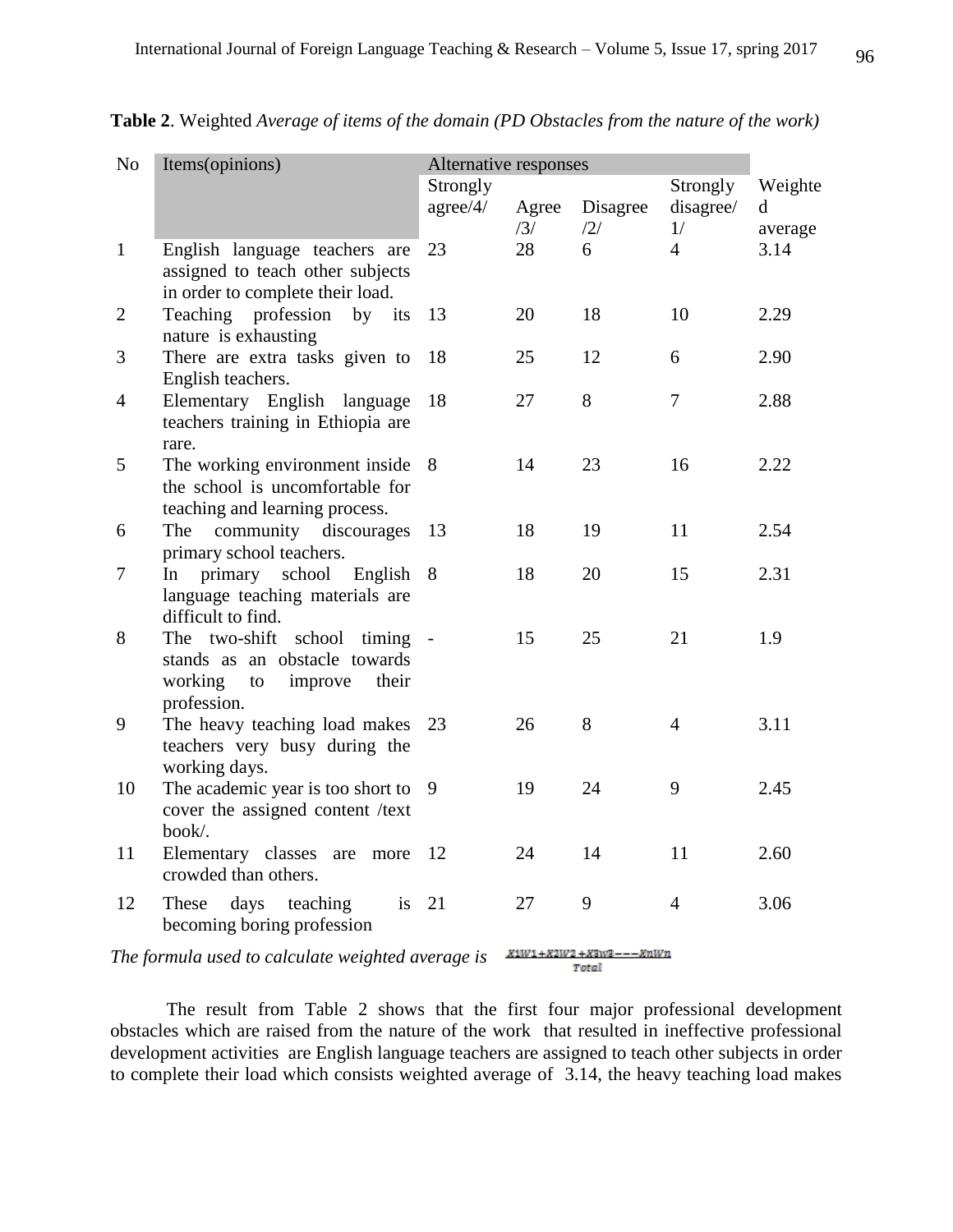| N <sub>o</sub> | Items(opinions)                                                                                                  | Alternative responses |              |                 |                             |                 |
|----------------|------------------------------------------------------------------------------------------------------------------|-----------------------|--------------|-----------------|-----------------------------|-----------------|
|                |                                                                                                                  | Strongly<br>agree/4/  | Agree<br>/3/ | Disagree<br>/2/ | Strongly<br>disagree/<br>1/ | Weighte<br>d    |
| $\mathbf{1}$   | English language teachers are<br>assigned to teach other subjects                                                | 23                    | 28           | 6               | $\overline{4}$              | average<br>3.14 |
| $\overline{2}$ | in order to complete their load.<br>Teaching profession<br>by<br>its<br>nature is exhausting                     | 13                    | 20           | 18              | 10                          | 2.29            |
| 3              | There are extra tasks given to<br>English teachers.                                                              | 18                    | 25           | 12              | 6                           | 2.90            |
| $\overline{4}$ | Elementary English language<br>teachers training in Ethiopia are<br>rare.                                        | 18                    | 27           | 8               | $\overline{7}$              | 2.88            |
| 5              | The working environment inside<br>the school is uncomfortable for<br>teaching and learning process.              | 8                     | 14           | 23              | 16                          | 2.22            |
| 6              | community discourages<br>The<br>primary school teachers.                                                         | 13                    | 18           | 19              | 11                          | 2.54            |
| 7              | primary school English<br>In<br>language teaching materials are<br>difficult to find.                            | 8                     | 18           | 20              | 15                          | 2.31            |
| 8              | The two-shift school timing<br>stands as an obstacle towards<br>working<br>improve<br>their<br>to<br>profession. |                       | 15           | 25              | 21                          | 1.9             |
| 9              | The heavy teaching load makes<br>teachers very busy during the<br>working days.                                  | 23                    | 26           | $8\,$           | $\overline{4}$              | 3.11            |
| 10             | The academic year is too short to<br>cover the assigned content /text<br>book/.                                  | 9                     | 19           | 24              | 9                           | 2.45            |
| 11             | Elementary classes are<br>more<br>crowded than others.                                                           | 12                    | 24           | 14              | 11                          | 2.60            |
| 12             | These<br>days<br>teaching<br>is<br>becoming boring profession                                                    | 21                    | 27           | 9               | $\overline{4}$              | 3.06            |

**Table 2**. Weighted *Average of items of the domain (PD Obstacles from the nature of the work)*

*The formula used to calculate weighted average is* 

Total

The result from Table 2 shows that the first four major professional development obstacles which are raised from the nature of the work that resulted in ineffective professional development activities are English language teachers are assigned to teach other subjects in order to complete their load which consists weighted average of 3.14, the heavy teaching load makes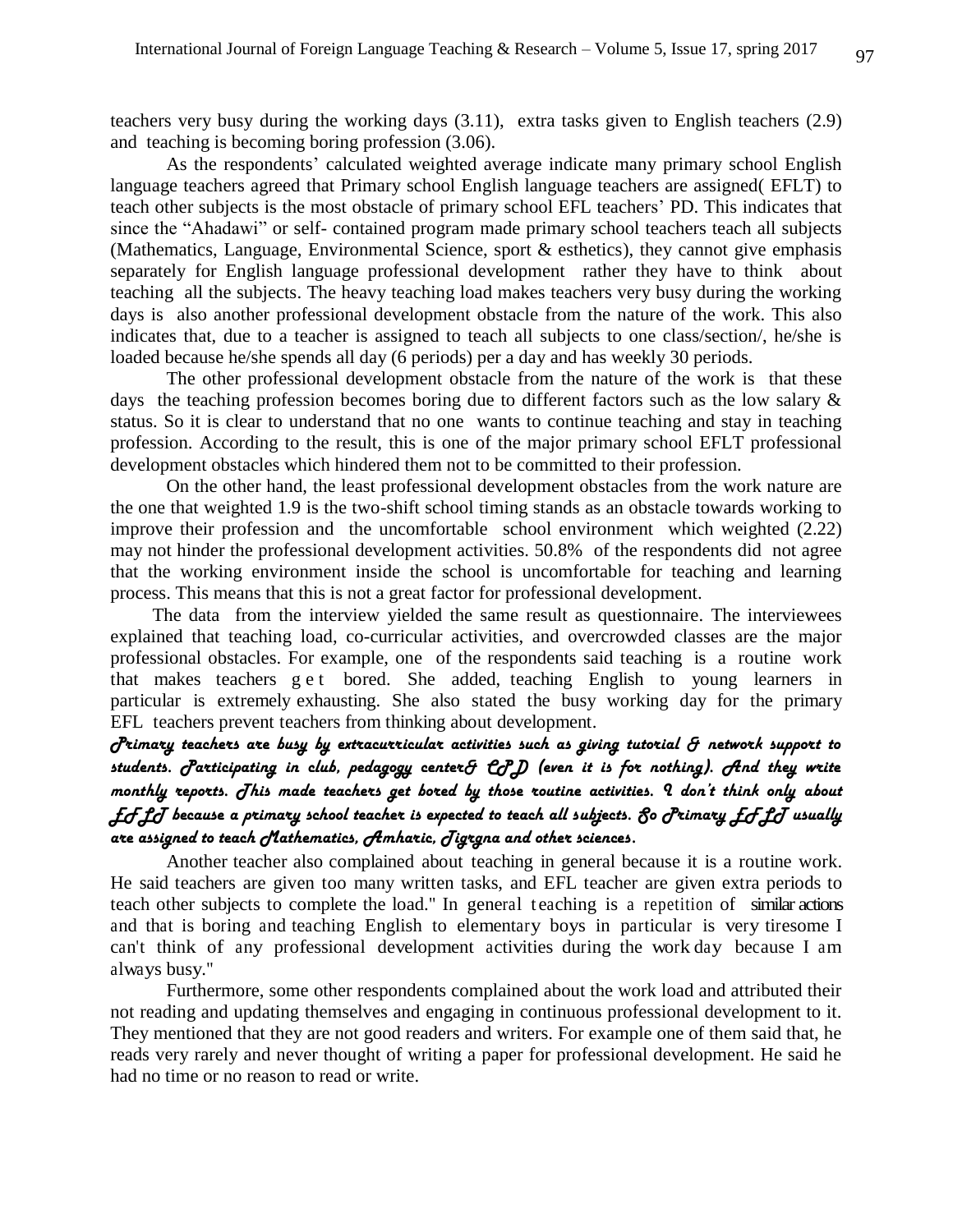teachers very busy during the working days (3.11), extra tasks given to English teachers (2.9) and teaching is becoming boring profession (3.06).

As the respondents' calculated weighted average indicate many primary school English language teachers agreed that Primary school English language teachers are assigned( EFLT) to teach other subjects is the most obstacle of primary school EFL teachers' PD. This indicates that since the "Ahadawi" or self- contained program made primary school teachers teach all subjects (Mathematics, Language, Environmental Science, sport & esthetics), they cannot give emphasis separately for English language professional development rather they have to think about teaching all the subjects. The heavy teaching load makes teachers very busy during the working days is also another professional development obstacle from the nature of the work. This also indicates that, due to a teacher is assigned to teach all subjects to one class/section/, he/she is loaded because he/she spends all day (6 periods) per a day and has weekly 30 periods.

The other professional development obstacle from the nature of the work is that these days the teaching profession becomes boring due to different factors such as the low salary & status. So it is clear to understand that no one wants to continue teaching and stay in teaching profession. According to the result, this is one of the major primary school EFLT professional development obstacles which hindered them not to be committed to their profession.

On the other hand, the least professional development obstacles from the work nature are the one that weighted 1.9 is the two-shift school timing stands as an obstacle towards working to improve their profession and the uncomfortable school environment which weighted (2.22) may not hinder the professional development activities. 50.8% of the respondents did not agree that the working environment inside the school is uncomfortable for teaching and learning process. This means that this is not a great factor for professional development.

The data from the interview yielded the same result as questionnaire. The interviewees explained that teaching load, co-curricular activities, and overcrowded classes are the major professional obstacles. For example, one of the respondents said teaching is a routine work that makes teachers g e t bored. She added, teaching English to young learners in particular is extremely exhausting. She also stated the busy working day for the primary EFL teachers prevent teachers from thinking about development.

*Primary teachers are busy by extracurricular activities such as giving tutorial & network support to students. Participating in club, pedagogy center& CPD (even it is for nothing). And they write monthly reports. This made teachers get bored by those routine activities. I don't think only about EFLT because a primary school teacher is expected to teach all subjects. So Primary EFLT usually are assigned to teach Mathematics, Amharic, Tigrgna and other sciences.*

Another teacher also complained about teaching in general because it is a routine work. He said teachers are given too many written tasks, and EFL teacher are given extra periods to teach other subjects to complete the load." In general t eaching is a repetition of similar actions and that is boring and teaching English to elementary boys in particular is very tiresome I can't think of any professional development activities during the work day because I am always busy."

Furthermore, some other respondents complained about the work load and attributed their not reading and updating themselves and engaging in continuous professional development to it. They mentioned that they are not good readers and writers. For example one of them said that, he reads very rarely and never thought of writing a paper for professional development. He said he had no time or no reason to read or write.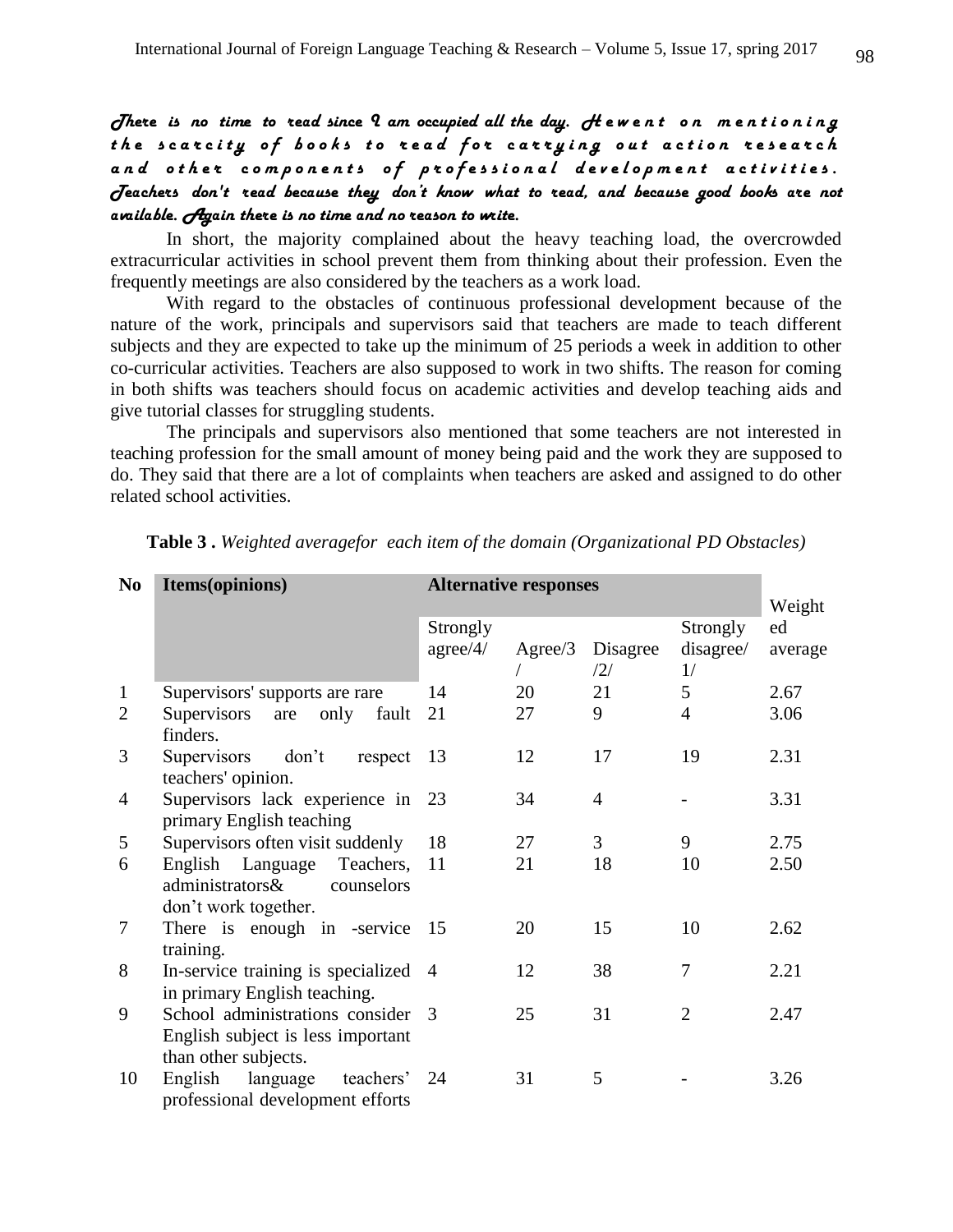# *There is no time to read since I am occupied all the day. H e w e n t o n m e n t i o n i n g*  the scarcity of books to read for carrying out action research *a n d o t h e r c o m p o n e n t s o f p r o f e s s i o n a l d e v e l o p m e n t a c t i v i t i e s . Teachers don't read because they don't know what to read, and because good books are not available. Again there is no time and no reason to write.*

In short, the majority complained about the heavy teaching load, the overcrowded extracurricular activities in school prevent them from thinking about their profession. Even the frequently meetings are also considered by the teachers as a work load.

With regard to the obstacles of continuous professional development because of the nature of the work, principals and supervisors said that teachers are made to teach different subjects and they are expected to take up the minimum of 25 periods a week in addition to other co-curricular activities. Teachers are also supposed to work in two shifts. The reason for coming in both shifts was teachers should focus on academic activities and develop teaching aids and give tutorial classes for struggling students.

The principals and supervisors also mentioned that some teachers are not interested in teaching profession for the small amount of money being paid and the work they are supposed to do. They said that there are a lot of complaints when teachers are asked and assigned to do other related school activities.

| N <sub>0</sub> | <b>Items</b> (opinions)                                                                      | <b>Alternative responses</b> | Weight  |                 |                             |               |
|----------------|----------------------------------------------------------------------------------------------|------------------------------|---------|-----------------|-----------------------------|---------------|
|                |                                                                                              | Strongly<br>agree/4/         | Agree/3 | Disagree<br>/2/ | Strongly<br>disagree/<br>1/ | ed<br>average |
| $\mathbf{1}$   | Supervisors' supports are rare                                                               | 14                           | 20      | 21              | 5                           | 2.67          |
| 2              | Supervisors<br>only<br>fault<br>are<br>finders.                                              | 21                           | 27      | 9               | $\overline{4}$              | 3.06          |
| 3              | don't<br>Supervisors<br>respect<br>teachers' opinion.                                        | 13                           | 12      | 17              | 19                          | 2.31          |
| 4              | Supervisors lack experience in<br>primary English teaching                                   | 23                           | 34      | $\overline{4}$  |                             | 3.31          |
| 5              | Supervisors often visit suddenly                                                             | 18                           | 27      | 3               | 9                           | 2.75          |
| 6              | English<br>Language<br>Teachers,<br>administrators&<br>counselors<br>don't work together.    | 11                           | 21      | 18              | 10                          | 2.50          |
| 7              | There is enough in -service<br>training.                                                     | 15                           | 20      | 15              | 10                          | 2.62          |
| 8              | In-service training is specialized 4<br>in primary English teaching.                         |                              | 12      | 38              | 7                           | 2.21          |
| 9              | School administrations consider<br>English subject is less important<br>than other subjects. | 3                            | 25      | 31              | $\overline{2}$              | 2.47          |
| 10             | English<br>language<br>teachers'<br>professional development efforts                         | 24                           | 31      | 5               |                             | 3.26          |

**Table 3 .** *Weighted averagefor each item of the domain (Organizational PD Obstacles)*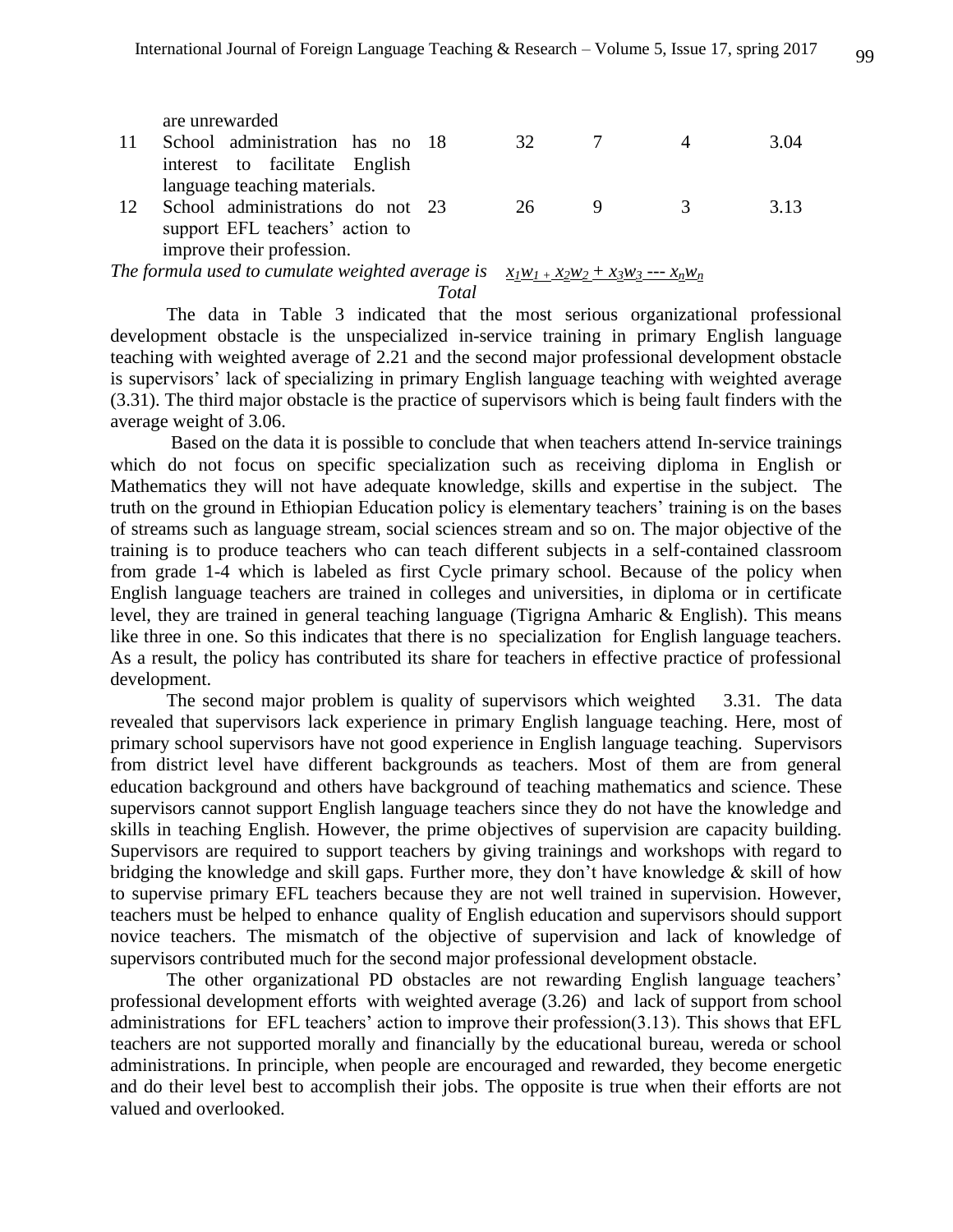| 11 | are unrewarded<br>School administration has no 18 | 32 |               | 3.04 |
|----|---------------------------------------------------|----|---------------|------|
|    | interest to facilitate English                    |    |               |      |
|    | language teaching materials.                      |    |               |      |
| 12 | School administrations do not 23                  | 26 | $\mathcal{R}$ | 3.13 |
|    | support EFL teachers' action to                   |    |               |      |
|    | improve their profession.                         |    |               |      |
|    |                                                   |    |               |      |

*The formula used to cumulate weighted average is*  $x_1w_1 + x_2w_2 + x_3w_3 - x_4w_n$ 

 *Total*

The data in Table 3 indicated that the most serious organizational professional development obstacle is the unspecialized in-service training in primary English language teaching with weighted average of 2.21 and the second major professional development obstacle is supervisors' lack of specializing in primary English language teaching with weighted average (3.31). The third major obstacle is the practice of supervisors which is being fault finders with the average weight of 3.06.

Based on the data it is possible to conclude that when teachers attend In-service trainings which do not focus on specific specialization such as receiving diploma in English or Mathematics they will not have adequate knowledge, skills and expertise in the subject. The truth on the ground in Ethiopian Education policy is elementary teachers' training is on the bases of streams such as language stream, social sciences stream and so on. The major objective of the training is to produce teachers who can teach different subjects in a self-contained classroom from grade 1-4 which is labeled as first Cycle primary school. Because of the policy when English language teachers are trained in colleges and universities, in diploma or in certificate level, they are trained in general teaching language (Tigrigna Amharic & English). This means like three in one. So this indicates that there is no specialization for English language teachers. As a result, the policy has contributed its share for teachers in effective practice of professional development.

The second major problem is quality of supervisors which weighted 3.31. The data revealed that supervisors lack experience in primary English language teaching. Here, most of primary school supervisors have not good experience in English language teaching. Supervisors from district level have different backgrounds as teachers. Most of them are from general education background and others have background of teaching mathematics and science. These supervisors cannot support English language teachers since they do not have the knowledge and skills in teaching English. However, the prime objectives of supervision are capacity building. Supervisors are required to support teachers by giving trainings and workshops with regard to bridging the knowledge and skill gaps. Further more, they don't have knowledge & skill of how to supervise primary EFL teachers because they are not well trained in supervision. However, teachers must be helped to enhance quality of English education and supervisors should support novice teachers. The mismatch of the objective of supervision and lack of knowledge of supervisors contributed much for the second major professional development obstacle.

The other organizational PD obstacles are not rewarding English language teachers' professional development efforts with weighted average (3.26) and lack of support from school administrations for EFL teachers' action to improve their profession(3.13). This shows that EFL teachers are not supported morally and financially by the educational bureau, wereda or school administrations. In principle, when people are encouraged and rewarded, they become energetic and do their level best to accomplish their jobs. The opposite is true when their efforts are not valued and overlooked.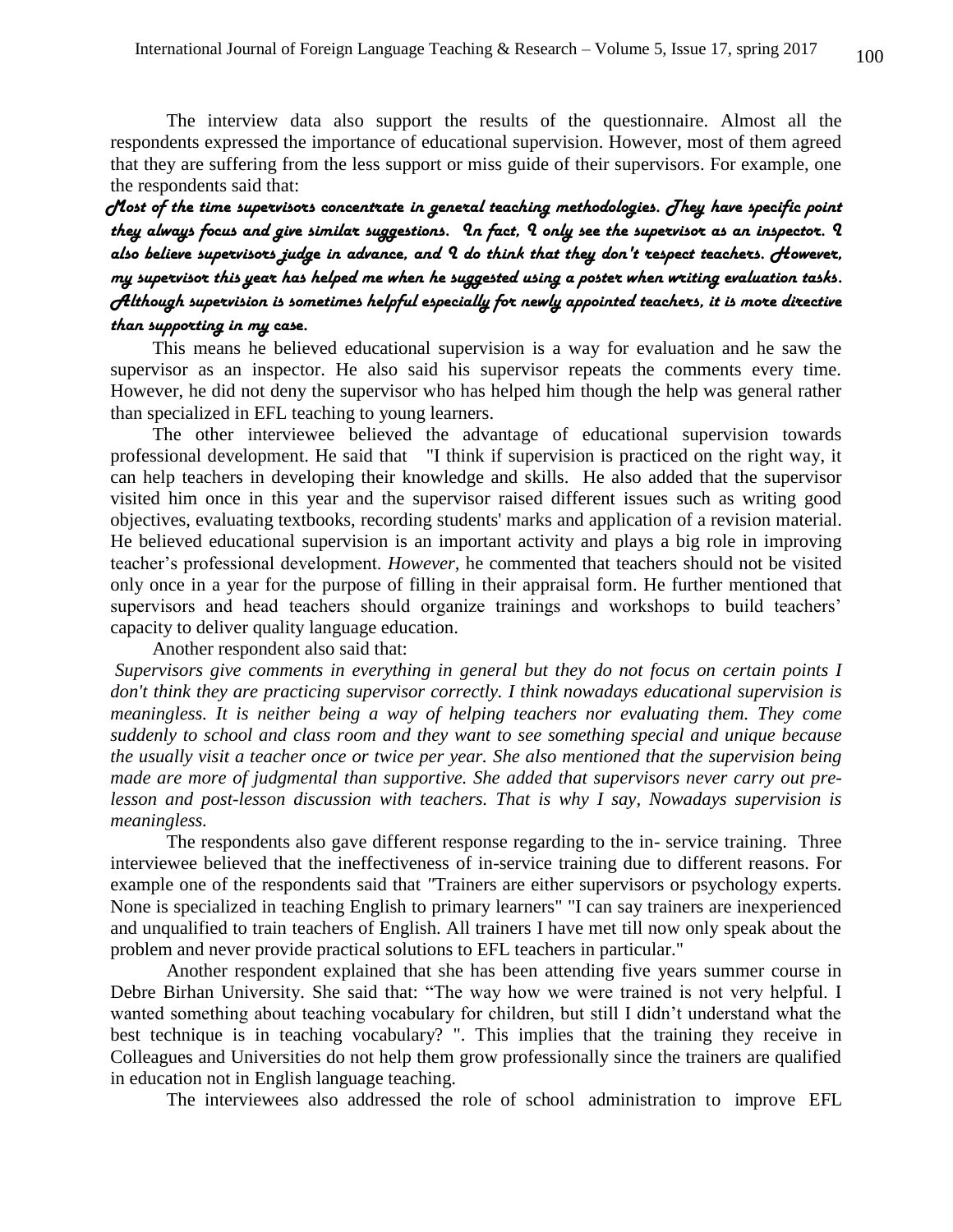The interview data also support the results of the questionnaire. Almost all the respondents expressed the importance of educational supervision. However, most of them agreed that they are suffering from the less support or miss guide of their supervisors. For example, one the respondents said that:

 *Most of the time supervisors concentrate in general teaching methodologies. They have specific point they always focus and give similar suggestions. In fact, I only see the supervisor as an inspector. I also believe supervisors judge in advance, and I do think that they don't respect teachers. However, my supervisor this year has helped me when he suggested using a poster when writing evaluation tasks. Although supervision is sometimes helpful especially for newly appointed teachers, it is more directive than supporting in my case.* 

This means he believed educational supervision is a way for evaluation and he saw the supervisor as an inspector. He also said his supervisor repeats the comments every time. However, he did not deny the supervisor who has helped him though the help was general rather than specialized in EFL teaching to young learners.

The other interviewee believed the advantage of educational supervision towards professional development. He said that"I think if supervision is practiced on the right way, it can help teachers in developing their knowledge and skills.He also added that the supervisor visited him once in this year and the supervisor raised different issues such as writing good objectives, evaluating textbooks, recording students' marks and application of a revision material. He believed educational supervision is an important activity and plays a big role in improving teacher's professional development. *However,* he commented that teachers should not be visited only once in a year for the purpose of filling in their appraisal form. He further mentioned that supervisors and head teachers should organize trainings and workshops to build teachers' capacity to deliver quality language education.

Another respondent also said that:

*Supervisors give comments in everything in general but they do not focus on certain points I don't think they are practicing supervisor correctly. I think nowadays educational supervision is meaningless. It is neither being a way of helping teachers nor evaluating them. They come suddenly to school and class room and they want to see something special and unique because the usually visit a teacher once or twice per year. She also mentioned that the supervision being made are more of judgmental than supportive. She added that supervisors never carry out prelesson and post-lesson discussion with teachers. That is why I say, Nowadays supervision is meaningless.*

The respondents also gave different response regarding to the in- service training. Three interviewee believed that the ineffectiveness of in-service training due to different reasons. For example one of the respondents said that *"*Trainers are either supervisors or psychology experts. None is specialized in teaching English to primary learners" "I can say trainers are inexperienced and unqualified to train teachers of English. All trainers I have met till now only speak about the problem and never provide practical solutions to EFL teachers in particular."

Another respondent explained that she has been attending five years summer course in Debre Birhan University. She said that: "The way how we were trained is not very helpful. I wanted something about teaching vocabulary for children, but still I didn't understand what the best technique is in teaching vocabulary? ". This implies that the training they receive in Colleagues and Universities do not help them grow professionally since the trainers are qualified in education not in English language teaching.

The interviewees also addressed the role of school administration to improve EFL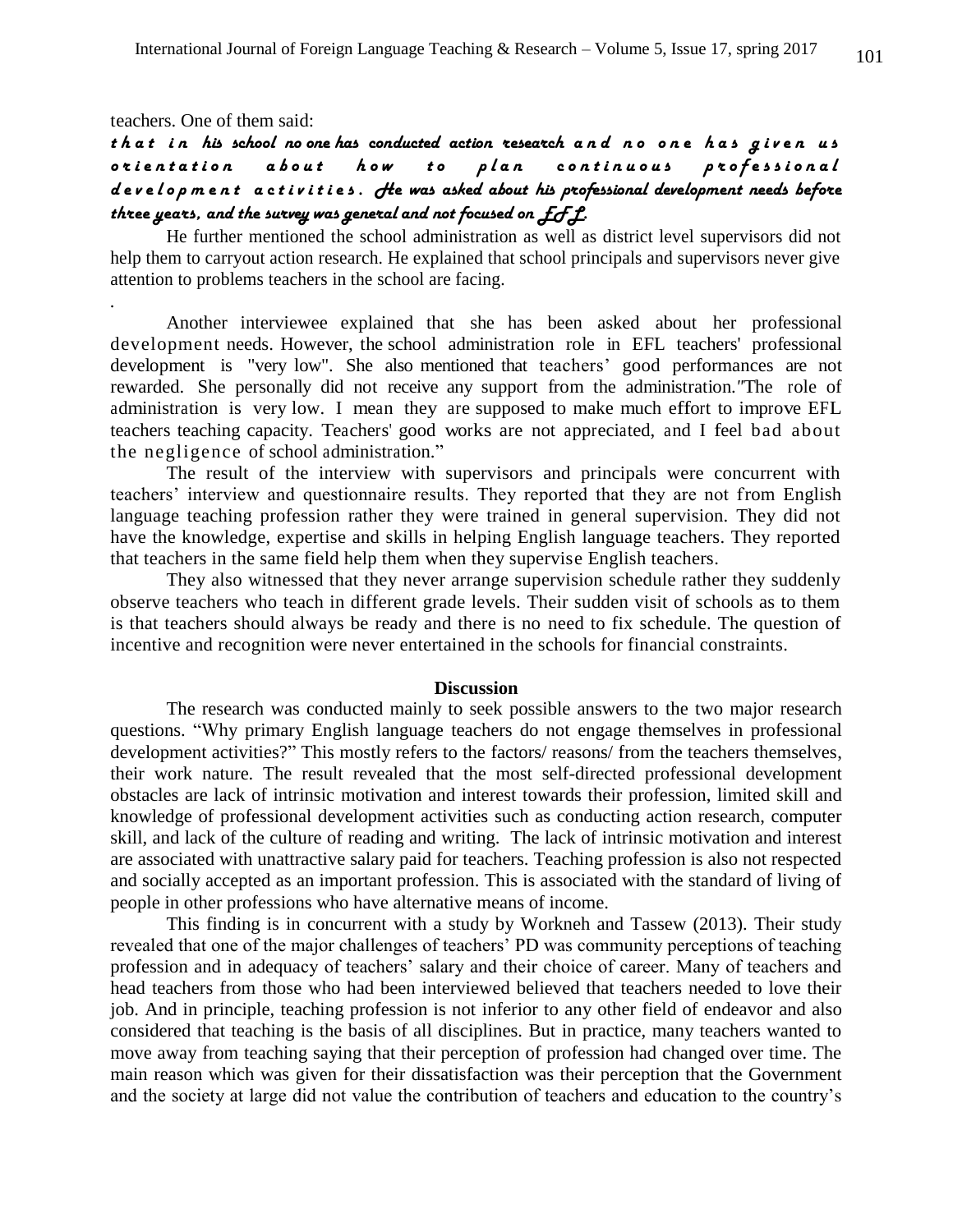teachers. One of them said:

*.*

# *t h a t i n his school no one has conducted action research a n d n o o n e h a s g i v e n u s*  o cientation about how to plan continuous professional *d e v e l o p m e n t a c t i v i t i e s . He was asked about his professional development needs before three years, and the survey was general and not focused on EFL.*

He further mentioned the school administration as well as district level supervisors did not help them to carryout action research. He explained that school principals and supervisors never give attention to problems teachers in the school are facing.

Another interviewee explained that she has been asked about her professional development needs. However, the school administration role in EFL teachers' professional development is "very low". She also mentioned that teachers' good performances are not rewarded. She personally did not receive any support from the administration.*"*The role of administration is very low. I mean they are supposed to make much effort to improve EFL teachers teaching capacity. Teachers' good works are not appreciated, and I feel bad about the negligence of school administration."

The result of the interview with supervisors and principals were concurrent with teachers' interview and questionnaire results. They reported that they are not from English language teaching profession rather they were trained in general supervision. They did not have the knowledge, expertise and skills in helping English language teachers. They reported that teachers in the same field help them when they supervise English teachers.

They also witnessed that they never arrange supervision schedule rather they suddenly observe teachers who teach in different grade levels. Their sudden visit of schools as to them is that teachers should always be ready and there is no need to fix schedule. The question of incentive and recognition were never entertained in the schools for financial constraints.

## **Discussion**

The research was conducted mainly to seek possible answers to the two major research questions. "Why primary English language teachers do not engage themselves in professional development activities?" This mostly refers to the factors/ reasons/ from the teachers themselves, their work nature. The result revealed that the most self-directed professional development obstacles are lack of intrinsic motivation and interest towards their profession, limited skill and knowledge of professional development activities such as conducting action research, computer skill, and lack of the culture of reading and writing. The lack of intrinsic motivation and interest are associated with unattractive salary paid for teachers. Teaching profession is also not respected and socially accepted as an important profession. This is associated with the standard of living of people in other professions who have alternative means of income.

This finding is in concurrent with a study by Workneh and Tassew (2013). Their study revealed that one of the major challenges of teachers' PD was community perceptions of teaching profession and in adequacy of teachers' salary and their choice of career. Many of teachers and head teachers from those who had been interviewed believed that teachers needed to love their job. And in principle, teaching profession is not inferior to any other field of endeavor and also considered that teaching is the basis of all disciplines. But in practice, many teachers wanted to move away from teaching saying that their perception of profession had changed over time. The main reason which was given for their dissatisfaction was their perception that the Government and the society at large did not value the contribution of teachers and education to the country's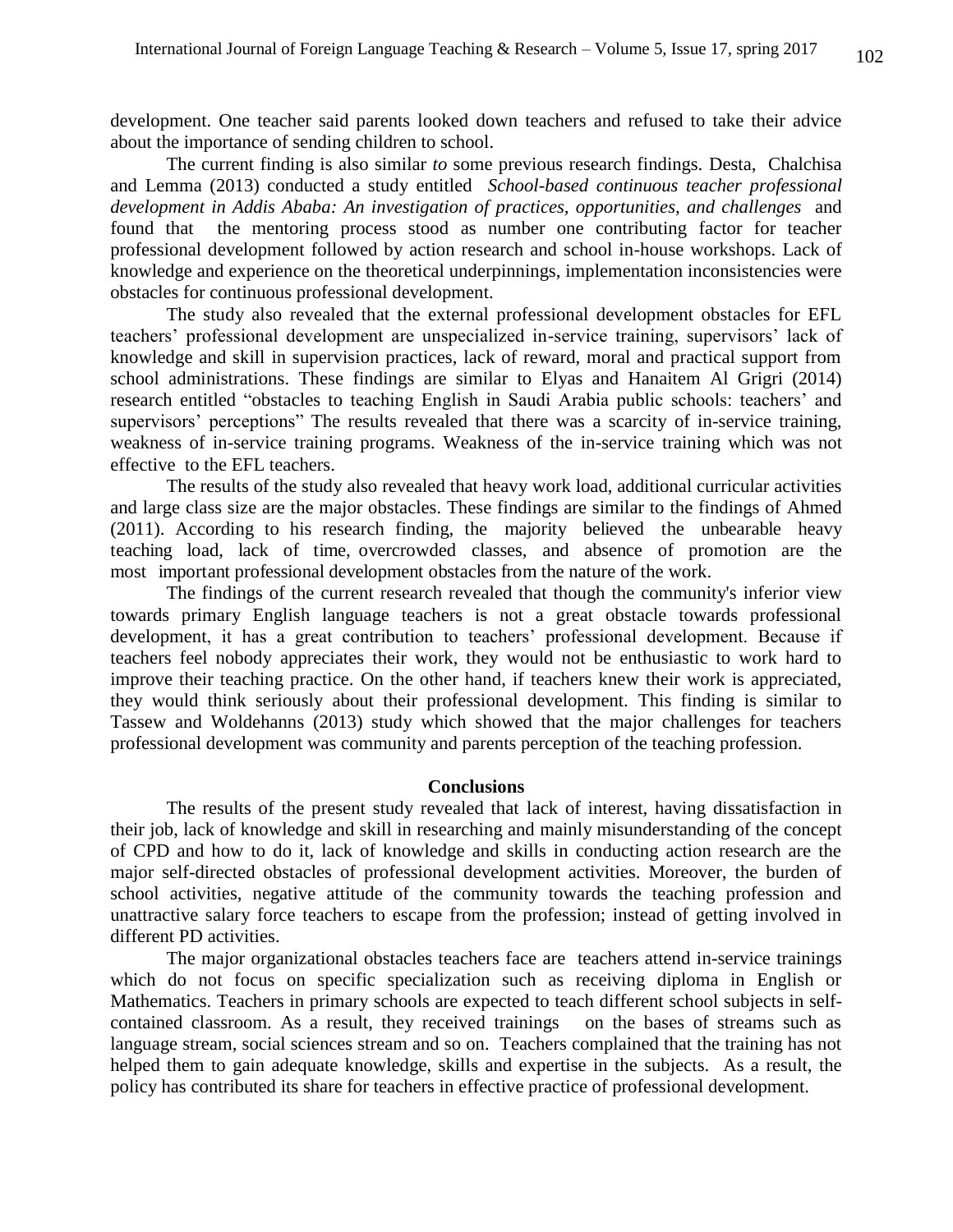development. One teacher said parents looked down teachers and refused to take their advice about the importance of sending children to school.

The current finding is also similar *to* some previous research findings. Desta, Chalchisa and Lemma (2013) conducted a study entitled *School-based continuous teacher professional development in Addis Ababa: An investigation of practices, opportunities, and challenges* and found that the mentoring process stood as number one contributing factor for teacher professional development followed by action research and school in-house workshops. Lack of knowledge and experience on the theoretical underpinnings, implementation inconsistencies were obstacles for continuous professional development.

The study also revealed that the external professional development obstacles for EFL teachers' professional development are unspecialized in-service training, supervisors' lack of knowledge and skill in supervision practices, lack of reward, moral and practical support from school administrations. These findings are similar to Elyas and Hanaitem Al Grigri (2014) research entitled "obstacles to teaching English in Saudi Arabia public schools: teachers' and supervisors' perceptions" The results revealed that there was a scarcity of in-service training, weakness of in-service training programs. Weakness of the in-service training which was not effective to the EFL teachers.

The results of the study also revealed that heavy work load, additional curricular activities and large class size are the major obstacles. These findings are similar to the findings of Ahmed (2011). According to his research finding, the majority believed the unbearable heavy teaching load, lack of time, overcrowded classes, and absence of promotion are the most important professional development obstacles from the nature of the work.

The findings of the current research revealed that though the community's inferior view towards primary English language teachers is not a great obstacle towards professional development, it has a great contribution to teachers' professional development. Because if teachers feel nobody appreciates their work, they would not be enthusiastic to work hard to improve their teaching practice. On the other hand, if teachers knew their work is appreciated, they would think seriously about their professional development. This finding is similar to Tassew and Woldehanns (2013) study which showed that the major challenges for teachers professional development was community and parents perception of the teaching profession.

# **Conclusions**

The results of the present study revealed that lack of interest, having dissatisfaction in their job, lack of knowledge and skill in researching and mainly misunderstanding of the concept of CPD and how to do it, lack of knowledge and skills in conducting action research are the major self-directed obstacles of professional development activities. Moreover, the burden of school activities, negative attitude of the community towards the teaching profession and unattractive salary force teachers to escape from the profession; instead of getting involved in different PD activities.

The major organizational obstacles teachers face are teachers attend in-service trainings which do not focus on specific specialization such as receiving diploma in English or Mathematics. Teachers in primary schools are expected to teach different school subjects in selfcontained classroom. As a result, they received trainings on the bases of streams such as language stream, social sciences stream and so on. Teachers complained that the training has not helped them to gain adequate knowledge, skills and expertise in the subjects. As a result, the policy has contributed its share for teachers in effective practice of professional development.